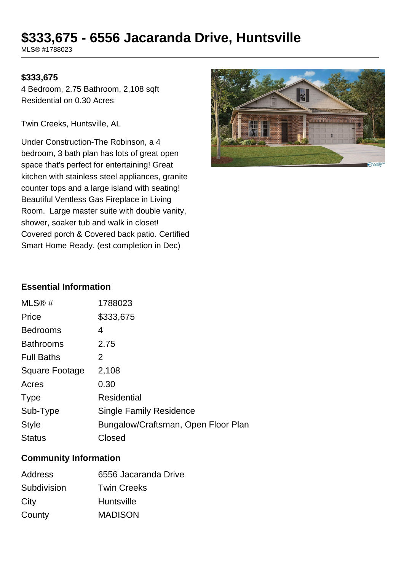# **\$333,675 - 6556 Jacaranda Drive, Huntsville**

MLS® #1788023

## **\$333,675**

4 Bedroom, 2.75 Bathroom, 2,108 sqft Residential on 0.30 Acres

Twin Creeks, Huntsville, AL

Under Construction-The Robinson, a 4 bedroom, 3 bath plan has lots of great open space that's perfect for entertaining! Great kitchen with stainless steel appliances, granite counter tops and a large island with seating! Beautiful Ventless Gas Fireplace in Living Room. Large master suite with double vanity, shower, soaker tub and walk in closet! Covered porch & Covered back patio. Certified Smart Home Ready. (est completion in Dec)



#### **Essential Information**

| MLS@#                 | 1788023                             |
|-----------------------|-------------------------------------|
| Price                 | \$333,675                           |
| <b>Bedrooms</b>       | 4                                   |
| <b>Bathrooms</b>      | 2.75                                |
| <b>Full Baths</b>     | 2                                   |
| <b>Square Footage</b> | 2,108                               |
| Acres                 | 0.30                                |
| <b>Type</b>           | <b>Residential</b>                  |
| Sub-Type              | <b>Single Family Residence</b>      |
| <b>Style</b>          | Bungalow/Craftsman, Open Floor Plan |
| <b>Status</b>         | Closed                              |

#### **Community Information**

| <b>Address</b> | 6556 Jacaranda Drive |
|----------------|----------------------|
| Subdivision    | <b>Twin Creeks</b>   |
| City           | <b>Huntsville</b>    |
| County         | <b>MADISON</b>       |